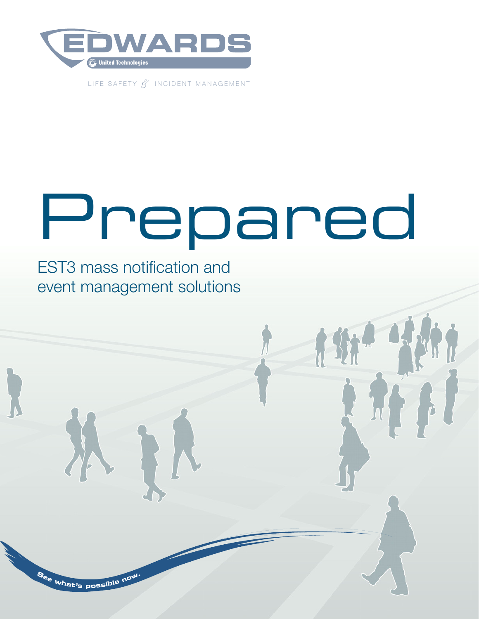

LIFE SAFETY *&* INCIDENT MANAGEMENT

# Prepared

EST3 mass notification and event management solutions

**<sup>S</sup><sup>e</sup><sup>e</sup> <sup>w</sup>hat'<sup>s</sup> <sup>p</sup>ossibl<sup>e</sup> <sup>n</sup>ow.**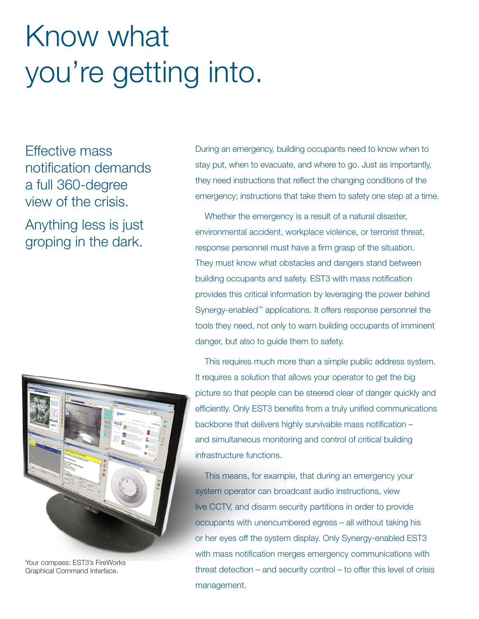## Know what you're getting into.

Effective mass notification demands a full 360-degree view of the crisis.

Anything less is just groping in the dark.



Your compass: EST3's FireWorks Graphical Command Interface.

During an emergency, building occupants need to know when to stay put, when to evacuate, and where to go. Just as importantly, they need instructions that reflect the changing conditions of the emergency; instructions that take them to safety one step at a time.

Whether the emergency is a result of a natural disaster, environmental accident, workplace violence, or terrorist threat, response personnel must have a firm grasp of the situation. They must know what obstacles and dangers stand between building occupants and safety. EST3 with mass notification provides this critical information by leveraging the power behind Synergy-enabled™ applications. It offers response personnel the tools they need, not only to warn building occupants of imminent danger, but also to guide them to safety.

This requires much more than a simple public address system. It requires a solution that allows your operator to get the big picture so that people can be steered clear of danger quickly and efficiently. Only EST3 benefits from a truly unified communications backbone that delivers highly survivable mass notification – and simultaneous monitoring and control of critical building infrastructure functions.

This means, for example, that during an emergency your system operator can broadcast audio instructions, view live CCTV, and disarm security partitions in order to provide occupants with unencumbered egress – all without taking his or her eyes off the system display. Only Synergy-enabled EST3 with mass notification merges emergency communications with threat detection – and security control – to offer this level of crisis management.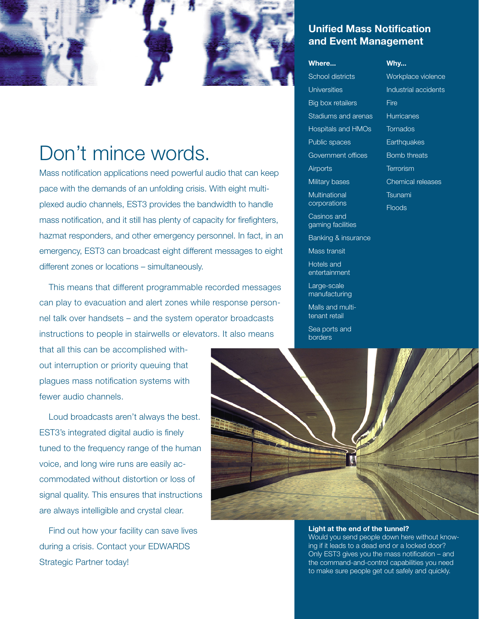

### Don't mince words.

Mass notification applications need powerful audio that can keep pace with the demands of an unfolding crisis. With eight multiplexed audio channels, EST3 provides the bandwidth to handle mass notification, and it still has plenty of capacity for firefighters, hazmat responders, and other emergency personnel. In fact, in an emergency, EST3 can broadcast eight different messages to eight different zones or locations – simultaneously.

This means that different programmable recorded messages can play to evacuation and alert zones while response personnel talk over handsets – and the system operator broadcasts instructions to people in stairwells or elevators. It also means

that all this can be accomplished without interruption or priority queuing that plagues mass notification systems with fewer audio channels.

Loud broadcasts aren't always the best. EST3's integrated digital audio is finely tuned to the frequency range of the human voice, and long wire runs are easily accommodated without distortion or loss of signal quality. This ensures that instructions are always intelligible and crystal clear.

Find out how your facility can save lives during a crisis. Contact your EDWARDS Strategic Partner today!

#### Unified Mass Notification and Event Management

#### Where...

School districts Universities Big box retailers Stadiums and arenas Hospitals and HMOs Public spaces Government offices **Airports** Military bases **Multinational corporations** Casinos and gaming facilities

Banking & insurance

Mass transit

Hotels and entertainment

Large-scale manufacturing

Malls and multitenant retail

Sea ports and borders



#### Light at the end of the tunnel?

Would you send people down here without knowing if it leads to a dead end or a locked door? Only EST3 gives you the mass notification – and the command-and-control capabilities you need to make sure people get out safely and quickly.

Why... Workplace violence Industrial accidents **Fire Hurricanes Tornados Earthquakes** Bomb threats **Terrorism** Chemical releases **Tsunami** 

**Floods**